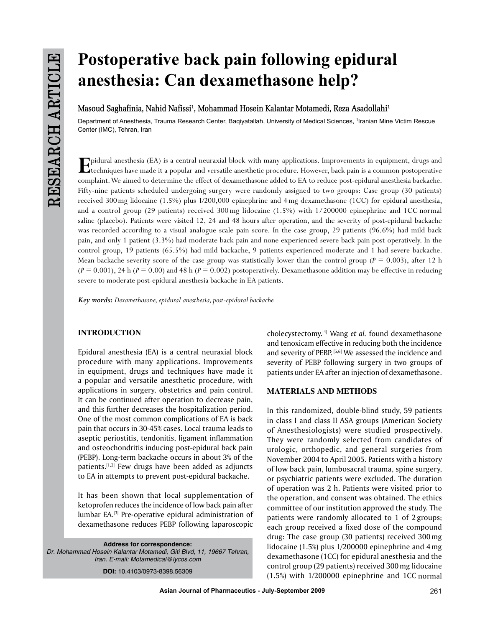# **Postoperative back pain following epidural anesthesia: Can dexamethasone help?**

Masoud Saghafinia, Nahid Nafissi<sup>1</sup>, Mohammad Hosein Kalantar Motamedi, Reza Asadollahi<sup>1</sup>

Department of Anesthesia, Trauma Research Center, Baqiyatallah, University of Medical Sciences, 1 Iranian Mine Victim Rescue Center (IMC), Tehran, Iran

Epidural anesthesia (EA) is a central neuraxial block with many applications. Improvements in equipment, drugs and<br>techniques have made it a popular and versatile anesthetic procedure. However, back pain is a common postop complaint. We aimed to determine the effect of dexamethasone added to EA to reduce post-epidural anesthesia backache. Fifty-nine patients scheduled undergoing surgery were randomly assigned to two groups: Case group (30 patients) received 300mg lidocaine (1.5%) plus 1/200,000 epinephrine and 4mg dexamethasone (1CC) for epidural anesthesia, and a control group (29 patients) received 300 mg lidocaine (1.5%) with 1/200000 epinephrine and 1CC normal saline (placebo). Patients were visited 12, 24 and 48 hours after operation, and the severity of post-epidural backache was recorded according to a visual analogue scale pain score. In the case group, 29 patients (96.6%) had mild back pain, and only 1 patient (3.3%) had moderate back pain and none experienced severe back pain post-operatively. In the control group, 19 patients (65.5%) had mild backache, 9 patients experienced moderate and 1 had severe backache. Mean backache severity score of the case group was statistically lower than the control group ( $P = 0.003$ ), after 12 h  $(P = 0.001)$ , 24 h  $(P = 0.00)$  and 48 h  $(P = 0.002)$  postoperatively. Dexamethasone addition may be effective in reducing severe to moderate post-epidural anesthesia backache in EA patients.

*Key words: Dexamethasone, epidural anesthesia, post-epidural backache*

# **INTRODUCTION**

Epidural anesthesia (EA) is a central neuraxial block procedure with many applications. Improvements in equipment, drugs and techniques have made it a popular and versatile anesthetic procedure, with applications in surgery, obstetrics and pain control. It can be continued after operation to decrease pain, and this further decreases the hospitalization period. One of the most common complications of EA is back pain that occurs in 30-45% cases. Local trauma leads to aseptic periostitis, tendonitis, ligament inflammation and osteochondritis inducing post-epidural back pain (PEBP). Long-term backache occurs in about 3% of the patients.<sup>[1,2]</sup> Few drugs have been added as adjuncts to EA in attempts to prevent post-epidural backache.

It has been shown that local supplementation of ketoprofen reduces the incidence of low back pain after lumbar EA.[3] Pre-operative epidural administration of dexamethasone reduces PEBP following laparoscopic

**Address for correspondence:** *Dr. Mohammad Hosein Kalantar Motamedi, Giti Blvd, 11, 19667 Tehran, Iran. E-mail: Motamedical@lycos.com* **DOI:** 10.4103/0973-8398.56309

cholecystectomy.[4] Wang *et al.* found dexamethasone and tenoxicam effective in reducing both the incidence and severity of PEBP. [5,6] We assessed the incidence and severity of PEBP following surgery in two groups of patients under EA after an injection of dexamethasone.

# **Materials and METHODS**

In this randomized, double-blind study, 59 patients in class I and class II ASA groups (American Society of Anesthesiologists) were studied prospectively. They were randomly selected from candidates of urologic, orthopedic, and general surgeries from November 2004 to April 2005. Patients with a history of low back pain, lumbosacral trauma, spine surgery, or psychiatric patients were excluded. The duration of operation was 2 h. Patients were visited prior to the operation, and consent was obtained. The ethics committee of our institution approved the study. The patients were randomly allocated to 1 of 2 groups; each group received a fixed dose of the compound drug: The case group (30 patients) received 300 mg lidocaine (1.5%) plus 1/200000 epinephrine and 4 mg dexamethasone (1CC) for epidural anesthesia and the control group (29 patients) received 300mg lidocaine (1.5%) with 1/200000 epinephrine and 1CC normal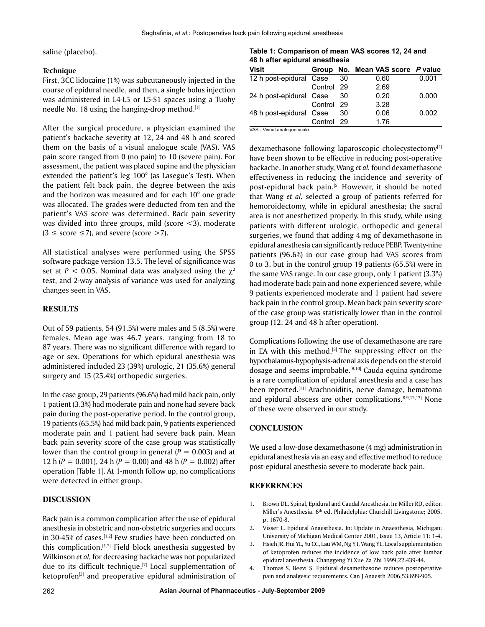saline (placebo).

#### **Technique**

First, 3CC lidocaine (1%) was subcutaneously injected in the course of epidural needle, and then, a single bolus injection was administered in L4-L5 or L5-S1 spaces using a Tuohy needle No. 18 using the hanging-drop method.<sup>[1]</sup>

After the surgical procedure, a physician examined the patient's backache severity at 12, 24 and 48 h and scored them on the basis of a visual analogue scale (VAS). VAS pain score ranged from 0 (no pain) to 10 (severe pain). For assessment, the patient was placed supine and the physician extended the patient's leg 100° (as Lasegue's Test). When the patient felt back pain, the degree between the axis and the horizon was measured and for each 10° one grade was allocated. The grades were deducted from ten and the patient's VAS score was determined. Back pain severity was divided into three groups, mild (score  $\langle 3 \rangle$ , moderate  $(3 \leq$  score  $\leq$ 7), and severe (score  $>$ 7).

All statistical analyses were performed using the SPSS software package version 13.5. The level of significance was set at  $P < 0.05$ . Nominal data was analyzed using the  $\chi^2$ test, and 2-way analysis of variance was used for analyzing changes seen in VAS.

# **RESULTS**

Out of 59 patients, 54 (91.5%) were males and 5 (8.5%) were females. Mean age was 46.7 years, ranging from 18 to 87 years. There was no significant difference with regard to age or sex. Operations for which epidural anesthesia was administered included 23 (39%) urologic, 21 (35.6%) general surgery and 15 (25.4%) orthopedic surgeries.

In the case group, 29 patients (96.6%) had mild back pain, only 1 patient (3.3%) had moderate pain and none had severe back pain during the post-operative period. In the control group, 19 patients (65.5%) had mild back pain, 9 patients experienced moderate pain and 1 patient had severe back pain. Mean back pain severity score of the case group was statistically lower than the control group in general  $(P = 0.003)$  and at 12 h (*P* = 0.001), 24 h (*P* = 0.00) and 48 h (*P* = 0.002) after operation [Table 1]. At 1-month follow up, no complications were detected in either group.

### **DISCUSSION**

Back pain is a common complication after the use of epidural anesthesia in obstetric and non-obstetric surgeries and occurs in 30-45% of cases.<sup>[1,2]</sup> Few studies have been conducted on this complication.<sup>[1,2]</sup> Field block anesthesia suggested by Wilkinson *et al.* for decreasing backache was not popularized due to its difficult technique.<sup>[7]</sup> Local supplementation of  $k$ etoprofen $[3]$  and preoperative epidural administration of

patients (96.6%) in our case group had VAS scores from 0 to 3, but in the control group 19 patients (65.5%) were in the same VAS range. In our case group, only 1 patient (3.3%) had moderate back pain and none experienced severe, while 9 patients experienced moderate and 1 patient had severe back pain in the control group. Mean back pain severity score of the case group was statistically lower than in the control group (12, 24 and 48 h after operation).

Complications following the use of dexamethasone are rare in EA with this method.<sup>[8]</sup> The suppressing effect on the hypothalamus-hypophysis-adrenal axis depends on the steroid dosage and seems improbable.<sup>[9,10]</sup> Cauda equina syndrome is a rare complication of epidural anesthesia and a case has been reported.<sup>[11]</sup> Arachnoiditis, nerve damage, hematoma and epidural abscess are other complications.[8,9,12,13] None of these were observed in our study.

#### **CONCLUSION**

We used a low-dose dexamethasone (4 mg) administration in epidural anesthesia via an easy and effective method to reduce post-epidural anesthesia severe to moderate back pain.

#### **REFERENCES**

- 1. Brown DL. Spinal, Epidural and Caudal Anesthesia. In: Miller RD, editor. Miller's Anesthesia. 6<sup>th</sup> ed. Philadelphia: Churchill Livingstone; 2005. p. 1670-8.
- 2. Visser L. Epidural Anaesthesia. In: Update in Anaesthesia, Michigan: University of Michigan Medical Center 2001, Issue 13, Article 11: 1-4.
- 3. Hsieh JR, Hui YL, Yu CC, Lau WM, Ng YT, Wang YL. Local supplementation of ketoprofen reduces the incidence of low back pain after lumbar epidural anesthesia. Changgeng Yi Xue Za Zhi 1999;22:439-44.
- 4. Thomas S, Beevi S. Epidural dexamethasone reduces postoperative pain and analgesic requirements. Can J Anaesth 2006;53:899-905.

## **Table 1: Comparison of mean VAS scores 12, 24 and 48 h after epidural anesthesia**

| Visit                   |            |     | Group No. Mean VAS score P value |       |
|-------------------------|------------|-----|----------------------------------|-------|
| 12 h post-epidural Case |            | 30  | 0.60                             | 0.001 |
|                         | Control 29 |     | 2.69                             |       |
| 24 h post-epidural Case |            | -30 | 0.20                             | 0.000 |
|                         | Control 29 |     | 3.28                             |       |
| 48 h post-epidural Case |            | 30  | 0.06                             | 0.002 |
|                         | Control 29 |     | 1.76                             |       |

dexamethasone following laparoscopic cholecystectomy<sup>[4]</sup> have been shown to be effective in reducing post-operative backache. In another study, Wang *et al.* found dexamethasone effectiveness in reducing the incidence and severity of post-epidural back pain.<sup>[5]</sup> However, it should be noted that Wang *et al.* selected a group of patients referred for hemoroidectomy, while in epidural anesthesia; the sacral area is not anesthetized properly. In this study, while using patients with different urologic, orthopedic and general surgeries, we found that adding 4mg of dexamethasone in epidural anesthesia can significantly reduce PEBP. Twenty-nine

VAS - Visual analogue scale